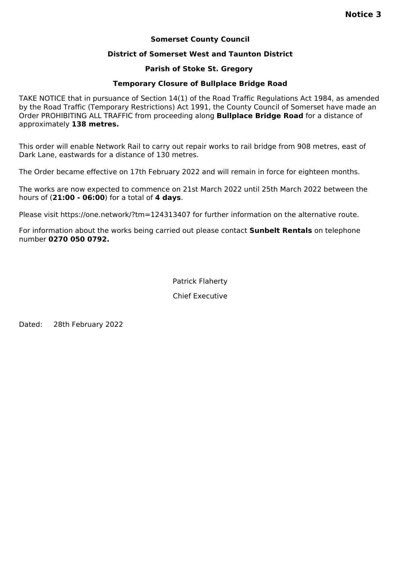# **Somerset County Council**

# **District of Somerset West and Taunton District**

## **Parish of Stoke St. Gregory**

# **Temporary Closure of Bullplace Bridge Road**

TAKE NOTICE that in pursuance of Section 14(1) of the Road Traffic Regulations Act 1984, as amended by the Road Traffic (Temporary Restrictions) Act 1991, the County Council of Somerset have made an Order PROHIBITING ALL TRAFFIC from proceeding along **Bullplace Bridge Road** for a distance of approximately **138 metres.**

This order will enable Network Rail to carry out repair works to rail bridge from 908 metres, east of Dark Lane, eastwards for a distance of 130 metres.

The Order became effective on 17th February 2022 and will remain in force for eighteen months.

The works are now expected to commence on 21st March 2022 until 25th March 2022 between the hours of (**21:00 - 06:00**) for a total of **4 days**.

Please visit https://one.network/?tm=124313407 for further information on the alternative route.

For information about the works being carried out please contact **Sunbelt Rentals** on telephone number **0270 050 0792.**

Patrick Flaherty

Chief Executive

Dated: 28th February 2022